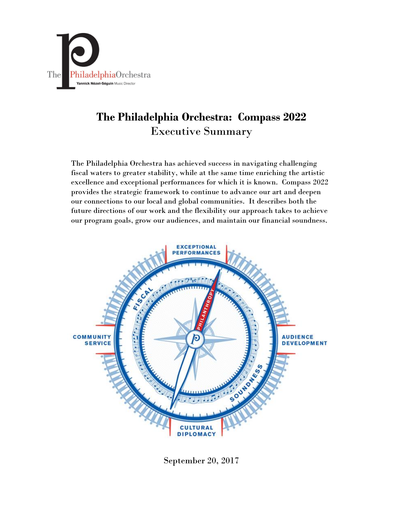

# **The Philadelphia Orchestra: Compass 2022** Executive Summary

The Philadelphia Orchestra has achieved success in navigating challenging fiscal waters to greater stability, while at the same time enriching the artistic excellence and exceptional performances for which it is known. Compass 2022 provides the strategic framework to continue to advance our art and deepen our connections to our local and global communities. It describes both the future directions of our work and the flexibility our approach takes to achieve our program goals, grow our audiences, and maintain our financial soundness.



September 20, 2017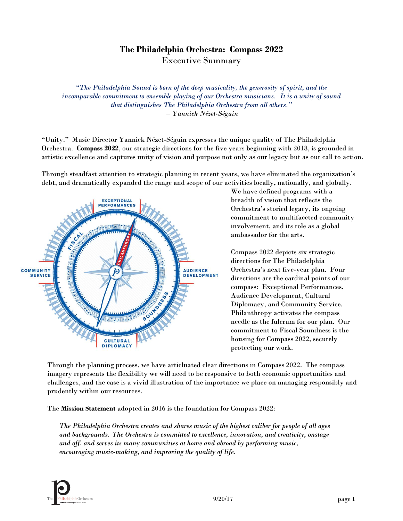# **The Philadelphia Orchestra: Compass 2022** Executive Summary

*"The Philadelphia Sound is born of the deep musicality, the generosity of spirit, and the incomparable commitment to ensemble playing of our Orchestra musicians. It is a unity of sound that distinguishes The Philadelphia Orchestra from all others." – Yannick Nézet-Séguin*

"Unity." Music Director Yannick Nézet-Séguin expresses the unique quality of The Philadelphia Orchestra. **Compass 2022**, our strategic directions for the five years beginning with 2018, is grounded in artistic excellence and captures unity of vision and purpose not only as our legacy but as our call to action.

Through steadfast attention to strategic planning in recent years, we have eliminated the organization's debt, and dramatically expanded the range and scope of our activities locally, nationally, and globally.



We have defined programs with a breadth of vision that reflects the Orchestra's storied legacy, its ongoing commitment to multifaceted community involvement, and its role as a global ambassador for the arts.

Compass 2022 depicts six strategic directions for The Philadelphia Orchestra's next five-year plan. Four directions are the cardinal points of our compass: Exceptional Performances, Audience Development, Cultural Diplomacy, and Community Service. Philanthropy activates the compass needle as the fulcrum for our plan. Our commitment to Fiscal Soundness is the housing for Compass 2022, securely protecting our work.

Through the planning process, we have articluated clear directions in Compass 2022. The compass imagery represents the flexibility we will need to be responsive to both economic opportunities and challenges, and the case is a vivid illustration of the importance we place on managing responsibly and prudently within our resources.

The **Mission Statement** adopted in 2016 is the foundation for Compass 2022:

*The Philadelphia Orchestra creates and shares music of the highest caliber for people of all ages and backgrounds. The Orchestra is committed to excellence, innovation, and creativity, onstage and off, and serves its many communities at home and abroad by performing music, encouraging music-making, and improving the quality of life.*

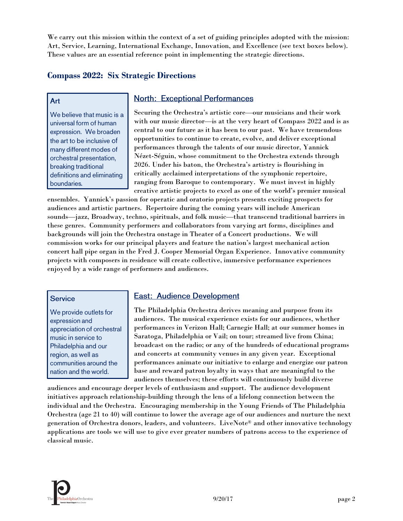We carry out this mission within the context of a set of guiding principles adopted with the mission: Art, Service, Learning, International Exchange, Innovation, and Excellence (see text boxes below). These values are an essential reference point in implementing the strategic directions.

## **Compass 2022: Six Strategic Directions**

#### Art

We believe that music is a universal form of human expression. We broaden the art to be inclusive of many different modes of orchestral presentation, breaking traditional definitions and eliminating boundaries.

## **North: Exceptional Performances**

Securing the Orchestra's artistic core—our musicians and their work with our music director—is at the very heart of Compass 2022 and is as central to our future as it has been to our past. We have tremendous opportunities to continue to create, evolve, and deliver exceptional performances through the talents of our music director, Yannick Nézet-Séguin, whose commitment to the Orchestra extends through 2026. Under his baton, the Orchestra's artistry is flourishing in critically acclaimed interpretations of the symphonic repertoire, ranging from Baroque to contemporary. We must invest in highly creative artistic projects to excel as one of the world's premier musical

ensembles. Yannick's passion for operatic and oratorio projects presents exciting prospects for audiences and artistic partners. Repertoire during the coming years will include American sounds—jazz, Broadway, techno, spirituals, and folk music—that transcend traditional barriers in these genres. Community performers and collaborators from varying art forms, disciplines and backgrounds will join the Orchestra onstage in Theater of a Concert productions. We will commission works for our principal players and feature the nation's largest mechanical action concert hall pipe organ in the Fred J. Cooper Memorial Organ Experience. Innovative community projects with composers in residence will create collective, immersive performance experiences enjoyed by a wide range of performers and audiences.

### **Service**

We provide outlets for expression and appreciation of orchestral music in service to Philadelphia and our region, as well as communities around the nation and the world.

# **East: Audience Development**

The Philadelphia Orchestra derives meaning and purpose from its audiences. The musical experience exists for our audiences, whether performances in Verizon Hall; Carnegie Hall; at our summer homes in Saratoga, Philadelphia or Vail; on tour; streamed live from China; broadcast on the radio; or any of the hundreds of educational programs and concerts at community venues in any given year. Exceptional performances animate our initiative to enlarge and energize our patron base and reward patron loyalty in ways that are meaningful to the audiences themselves; these efforts will continuously build diverse

audiences and encourage deeper levels of enthusiasm and support. The audience development initiatives approach relationship-building through the lens of a lifelong connection between the individual and the Orchestra. Encouraging membership in the Young Friends of The Philadelphia Orchestra (age 21 to 40) will continue to lower the average age of our audiences and nurture the next generation of Orchestra donors, leaders, and volunteers. LiveNote® and other innovative technology applications are tools we will use to give ever greater numbers of patrons access to the experience of classical music.

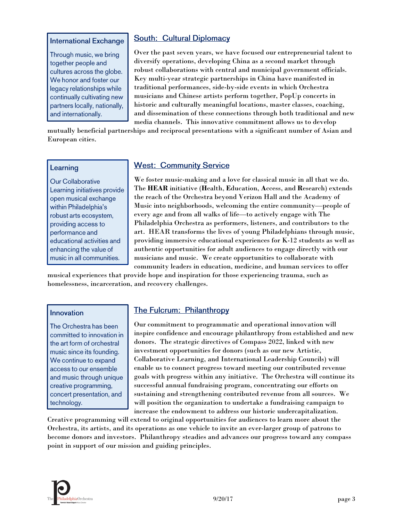#### **International Exchange**

Through music, we bring together people and cultures across the globe. We honor and foster our legacy relationships while continually cultivating new partners locally, nationally, and internationally.

## **South: Cultural Diplomacy**

Over the past seven years, we have focused our entrepreneurial talent to diversify operations, developing China as a second market through robust collaborations with central and municipal government officials. Key multi-year strategic partnerships in China have manifested in traditional performances, side-by-side events in which Orchestra musicians and Chinese artists perform together, PopUp concerts in historic and culturally meaningful locations, master classes, coaching, and dissemination of these connections through both traditional and new media channels. This innovative commitment allows us to develop

mutually beneficial partnerships and reciprocal presentations with a significant number of Asian and European cities.

#### Learning

**Our Collaborative** Learning initiatives provide open musical exchange within Philadelphia's robust arts ecosystem, providing access to performance and educational activities and enhancing the value of music in all communities.

## **West: Community Service**

We foster music-making and a love for classical music in all that we do. The **HEAR** initiative (**H**ealth, **E**ducation, **A**ccess, and **R**esearch) extends the reach of the Orchestra beyond Verizon Hall and the Academy of Music into neighborhoods, welcoming the entire community—people of every age and from all walks of life—to actively engage with The Philadelphia Orchestra as performers, listeners, and contributors to the art. HEAR transforms the lives of young Philadelphians through music, providing immersive educational experiences for K-12 students as well as authentic opportunities for adult audiences to engage directly with our musicians and music. We create opportunities to collaborate with community leaders in education, medicine, and human services to offer

musical experiences that provide hope and inspiration for those experiencing trauma, such as homelessness, incarceration, and recovery challenges.

#### Innovation

The Orchestra has been committed to innovation in the art form of orchestral music since its founding. We continue to expand access to our ensemble and music through unique creative programming, concert presentation, and technology.

## **The Fulcrum: Philanthropy**

Our commitment to programmatic and operational innovation will inspire confidence and encourage philanthropy from established and new donors. The strategic directives of Compass 2022, linked with new investment opportunities for donors (such as our new Artistic, Collaborative Learning, and International Leadership Councils) will enable us to connect progress toward meeting our contributed revenue goals with progress within any initiative. The Orchestra will continue its successful annual fundraising program, concentrating our efforts on sustaining and strengthening contributed revenue from all sources. We will position the organization to undertake a fundraising campaign to increase the endowment to address our historic undercapitalization.

Creative programming will extend to original opportunities for audiences to learn more about the Orchestra, its artists, and its operations as one vehicle to invite an ever-larger group of patrons to become donors and investors. Philanthropy steadies and advances our progress toward any compass point in support of our mission and guiding principles.